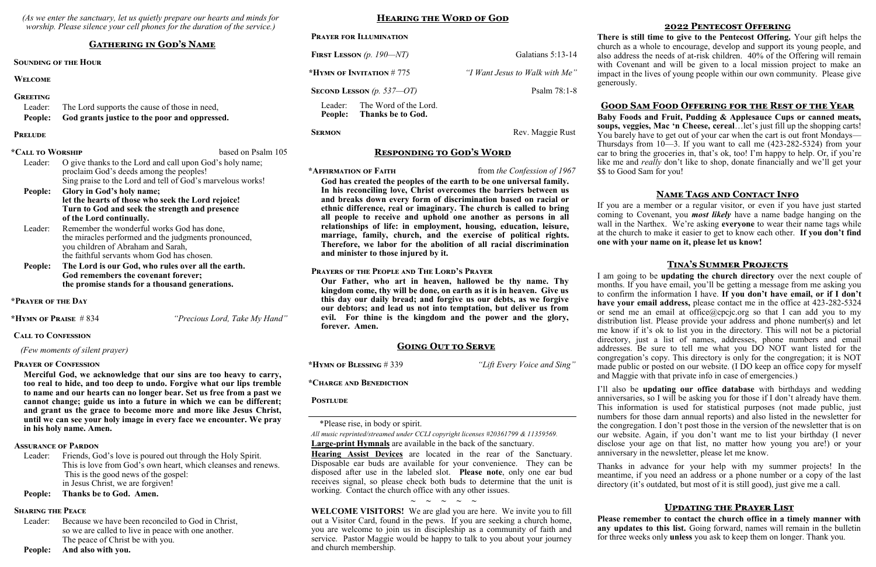*(As we enter the sanctuary, let us quietly prepare our hearts and minds for worship. Please silence your cell phones for the duration of the service.)*

### **Gathering in God's Name**

#### **Sounding of the Hour**

#### **Welcome**

#### **Greeting**

| Leader: | The Lord supports the cause of those in need,         |  |
|---------|-------------------------------------------------------|--|
|         | People: God grants justice to the poor and oppressed. |  |

#### **Prelude**

| *Call to Worship |                                                            | based on Psalm 105 |
|------------------|------------------------------------------------------------|--------------------|
| Leader:          | O give thanks to the Lord and call upon God's holy name;   |                    |
|                  | proclaim God's deeds among the peoples!                    |                    |
|                  | Sing praise to the Lord and tell of God's marvelous works! |                    |
| People:          | Glory in God's holy name;                                  |                    |
|                  | let the hearts of those who seek the Lord rejoice!         |                    |
|                  | Turn to God and seek the strength and presence             |                    |
|                  | of the Lord continually.                                   |                    |
| Leader:          | Remember the wonderful works God has done,                 |                    |
|                  | the miracles performed and the judgments pronounced,       |                    |
|                  | you children of Abraham and Sarah,                         |                    |
|                  | the faithful servants whom God has chosen.                 |                    |
| People:          | The Lord is our God, who rules over all the earth.         |                    |
|                  | God remembers the covenant forever;                        |                    |
|                  | the promise stands for a thousand generations.             |                    |

Leader: Friends, God's love is poured out through the Holy Spirit. This is love from God's own heart, which cleanses and renews. This is the good news of the gospel: in Jesus Christ, we are forgiven!

**\*Prayer of the Day**

**\*Hymn of Praise** # 834 *"Precious Lord, Take My Hand"*

#### **Call to Confession**

 *(Few moments of silent prayer)*

#### **Prayer of Confession**

**Merciful God, we acknowledge that our sins are too heavy to carry, too real to hide, and too deep to undo. Forgive what our lips tremble to name and our hearts can no longer bear. Set us free from a past we cannot change; guide us into a future in which we can be different; and grant us the grace to become more and more like Jesus Christ, until we can see your holy image in every face we encounter. We pray in his holy name. Amen.**

#### **Assurance of Pardon**

**People: Thanks be to God. Amen.**

#### **Sharing the Peace**

Leader: Because we have been reconciled to God in Christ, so we are called to live in peace with one another. The peace of Christ be with you.

**People: And also with you.**

#### **Hearing the Word of God**

| <b>PRAYER FOR ILLUMINATION</b>                                          |                                |
|-------------------------------------------------------------------------|--------------------------------|
| FIRST LESSON $(p. 190 - NT)$                                            | Galatians 5:13-14              |
| *HYMN OF INVITATION $# 775$                                             | "I Want Jesus to Walk with Me" |
| SECOND LESSON $(p. 537 - OT)$                                           | Psalm $78:1-8$                 |
| The Word of the Lord.<br>Leader:<br><b>Thanks be to God.</b><br>People: |                                |

#### **SERMON** Rev. Maggie Rust

#### **Responding to God's Word**

**\*Affirmation of Faith** from *the Confession of 1967*

**God has created the peoples of the earth to be one universal family. In his reconciling love, Christ overcomes the barriers between us and breaks down every form of discrimination based on racial or ethnic difference, real or imaginary. The church is called to bring all people to receive and uphold one another as persons in all relationships of life: in employment, housing, education, leisure, marriage, family, church, and the exercise of political rights. Therefore, we labor for the abolition of all racial discrimination and minister to those injured by it.**

#### **Prayers of the People and The Lord's Prayer**

**Our Father, who art in heaven, hallowed be thy name. Thy kingdom come, thy will be done, on earth as it is in heaven. Give us this day our daily bread; and forgive us our debts, as we forgive our debtors; and lead us not into temptation, but deliver us from evil. For thine is the kingdom and the power and the glory, forever. Amen.**

#### **Going Out to Serve**

**\*Hymn of Blessing** # 339 *"Lift Every Voice and Sing"*

**\*Charge and Benediction**

#### **Postlude**

\*Please rise, in body or spirit.

*All music reprinted/streamed under CCLI copyright licenses #20361799 & 11359569.* **Large-print Hymnals** are available in the back of the sanctuary.

**Hearing Assist Devices** are located in the rear of the Sanctuary. Disposable ear buds are available for your convenience. They can be disposed after use in the labeled slot. **Please note**, only one ear bud receives signal, so please check both buds to determine that the unit is working. Contact the church office with any other issues.

**~ ~ ~ ~ ~**

**WELCOME VISITORS!** We are glad you are here. We invite you to fill out a Visitor Card, found in the pews. If you are seeking a church home, you are welcome to join us in discipleship as a community of faith and service. Pastor Maggie would be happy to talk to you about your journey and church membership.

#### **2022 Pentecost Offering**

**There is still time to give to the Pentecost Offering.** Your gift helps the church as a whole to encourage, develop and support its young people, and also address the needs of at-risk children. 40% of the Offering will remain with Covenant and will be given to a local mission project to make an impact in the lives of young people within our own community. Please give generously.

#### **Good Sam Food Offering for the Rest of the Year**

**Baby Foods and Fruit, Pudding & Applesauce Cups or canned meats, soups, veggies, Mac 'n Cheese, cereal**…let's just fill up the shopping carts! You barely have to get out of your car when the cart is out front Mondays— Thursdays from 10—3. If you want to call me (423-282-5324) from your car to bring the groceries in, that's ok, too! I'm happy to help. Or, if you're like me and *really* don't like to shop, donate financially and we'll get your \$\$ to Good Sam for you!

#### **Name Tags and Contact Info**

If you are a member or a regular visitor, or even if you have just started coming to Covenant, you *most likely* have a name badge hanging on the wall in the Narthex. We're asking **everyone** to wear their name tags while at the church to make it easier to get to know each other. **If you don't find one with your name on it, please let us know!**

#### **Tina's Summer Projects**

I am going to be **updating the church directory** over the next couple of months. If you have email, you'll be getting a message from me asking you to confirm the information I have. **If you don't have email, or if I don't have your email address,** please contact me in the office at 423-282-5324 or send me an email at office@cpcjc.org so that I can add you to my distribution list. Please provide your address and phone number(s) and let me know if it's ok to list you in the directory. This will not be a pictorial directory, just a list of names, addresses, phone numbers and email addresses. Be sure to tell me what you DO NOT want listed for the congregation's copy. This directory is only for the congregation; it is NOT made public or posted on our website. (I DO keep an office copy for myself and Maggie with that private info in case of emergencies.)

I'll also be **updating our office database** with birthdays and wedding anniversaries, so I will be asking you for those if I don't already have them. This information is used for statistical purposes (not made public, just numbers for those darn annual reports) and also listed in the newsletter for the congregation. I don't post those in the version of the newsletter that is on our website. Again, if you don't want me to list your birthday (I never disclose your age on that list, no matter how young you are!) or your anniversary in the newsletter, please let me know.

Thanks in advance for your help with my summer projects! In the meantime, if you need an address or a phone number or a copy of the last directory (it's outdated, but most of it is still good), just give me a call.

#### **Updating the Prayer List**

**Please remember to contact the church office in a timely manner with**  any updates to this list. Going forward, names will remain in the bulletin for three weeks only **unless** you ask to keep them on longer. Thank you.